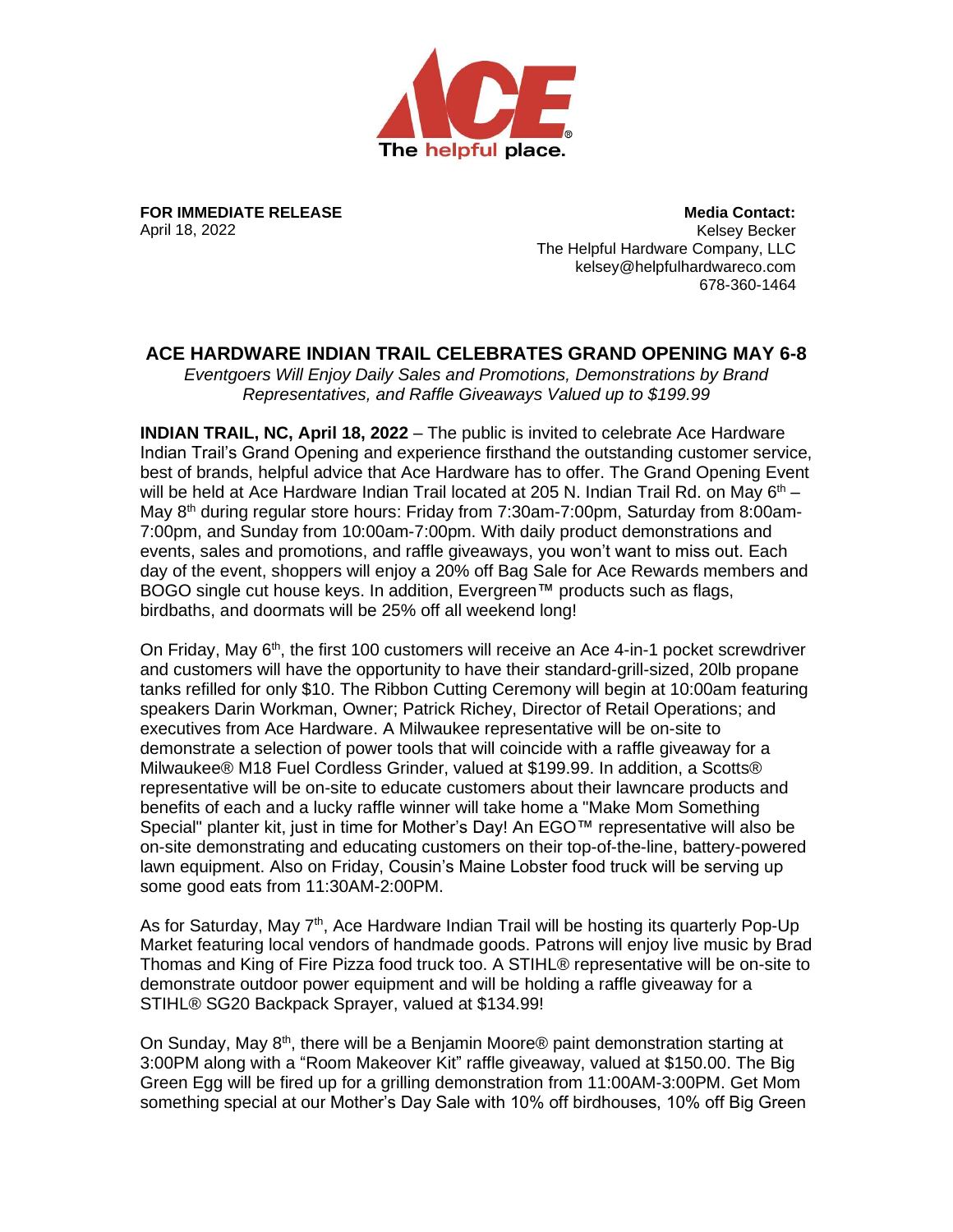

**FOR IMMEDIATE RELEASE** April 18, 2022

**Media Contact:** Kelsey Becker The Helpful Hardware Company, LLC kelsey@helpfulhardwareco.com 678-360-1464

## **ACE HARDWARE INDIAN TRAIL CELEBRATES GRAND OPENING MAY 6-8**

*Eventgoers Will Enjoy Daily Sales and Promotions, Demonstrations by Brand Representatives, and Raffle Giveaways Valued up to \$199.99*

**INDIAN TRAIL, NC, April 18, 2022** – The public is invited to celebrate Ace Hardware Indian Trail's Grand Opening and experience firsthand the outstanding customer service, best of brands, helpful advice that Ace Hardware has to offer. The Grand Opening Event will be held at Ace Hardware Indian Trail located at 205 N. Indian Trail Rd. on May  $6<sup>th</sup>$  – May 8<sup>th</sup> during regular store hours: Friday from 7:30am-7:00pm, Saturday from 8:00am-7:00pm, and Sunday from 10:00am-7:00pm. With daily product demonstrations and events, sales and promotions, and raffle giveaways, you won't want to miss out. Each day of the event, shoppers will enjoy a 20% off Bag Sale for Ace Rewards members and BOGO single cut house keys. In addition, Evergreen™ products such as flags, birdbaths, and doormats will be 25% off all weekend long!

On Friday, May 6<sup>th</sup>, the first 100 customers will receive an Ace 4-in-1 pocket screwdriver and customers will have the opportunity to have their standard-grill-sized, 20lb propane tanks refilled for only \$10. The Ribbon Cutting Ceremony will begin at 10:00am featuring speakers Darin Workman, Owner; Patrick Richey, Director of Retail Operations; and executives from Ace Hardware. A Milwaukee representative will be on-site to demonstrate a selection of power tools that will coincide with a raffle giveaway for a Milwaukee® M18 Fuel Cordless Grinder, valued at \$199.99. In addition, a Scotts® representative will be on-site to educate customers about their lawncare products and benefits of each and a lucky raffle winner will take home a "Make Mom Something Special" planter kit, just in time for Mother's Day! An EGO™ representative will also be on-site demonstrating and educating customers on their top-of-the-line, battery-powered lawn equipment. Also on Friday, Cousin's Maine Lobster food truck will be serving up some good eats from 11:30AM-2:00PM.

As for Saturday, May  $7<sup>th</sup>$ , Ace Hardware Indian Trail will be hosting its quarterly Pop-Up Market featuring local vendors of handmade goods. Patrons will enjoy live music by Brad Thomas and King of Fire Pizza food truck too. A STIHL® representative will be on-site to demonstrate outdoor power equipment and will be holding a raffle giveaway for a STIHL® SG20 Backpack Sprayer, valued at \$134.99!

On Sunday, May 8<sup>th</sup>, there will be a Benjamin Moore® paint demonstration starting at 3:00PM along with a "Room Makeover Kit" raffle giveaway, valued at \$150.00. The Big Green Egg will be fired up for a grilling demonstration from 11:00AM-3:00PM. Get Mom something special at our Mother's Day Sale with 10% off birdhouses, 10% off Big Green